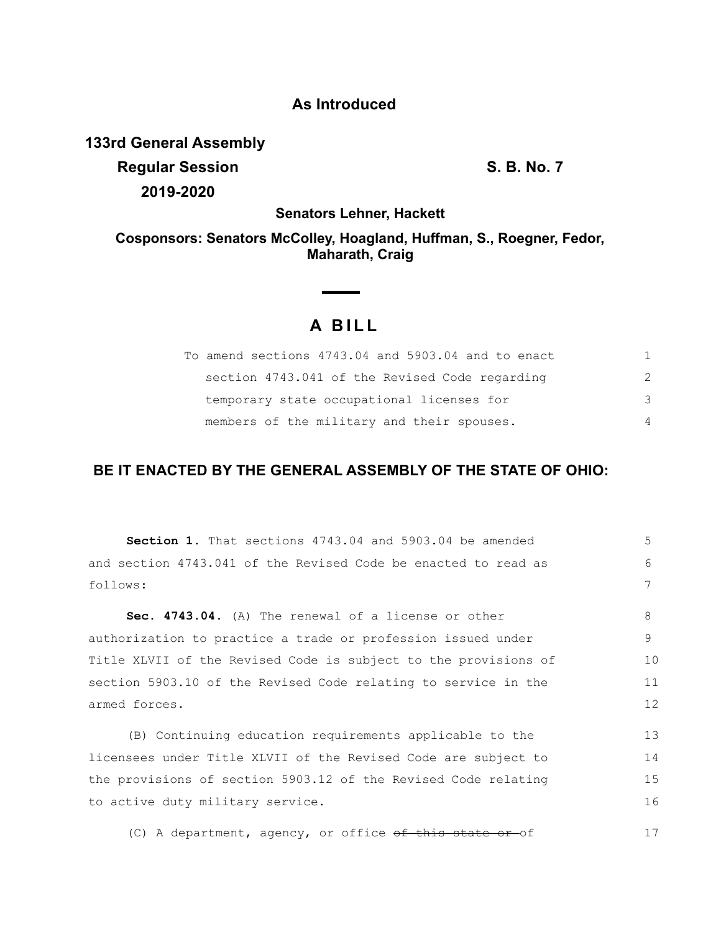## **As Introduced**

**133rd General Assembly**

**Regular Session S. B. No. 7 2019-2020**

**Senators Lehner, Hackett**

## **Cosponsors: Senators McColley, Hoagland, Huffman, S., Roegner, Fedor, Maharath, Craig**

## **A BILL**

| To amend sections 4743.04 and 5903.04 and to enact |                |
|----------------------------------------------------|----------------|
| section 4743.041 of the Revised Code regarding     | 2              |
| temporary state occupational licenses for          | $\mathcal{R}$  |
| members of the military and their spouses.         | $\overline{4}$ |

## **BE IT ENACTED BY THE GENERAL ASSEMBLY OF THE STATE OF OHIO:**

| <b>Section 1.</b> That sections 4743.04 and 5903.04 be amended  | 5  |
|-----------------------------------------------------------------|----|
| and section 4743.041 of the Revised Code be enacted to read as  | 6  |
| follows:                                                        | 7  |
| Sec. 4743.04. (A) The renewal of a license or other             | 8  |
| authorization to practice a trade or profession issued under    | 9  |
| Title XLVII of the Revised Code is subject to the provisions of | 10 |
| section 5903.10 of the Revised Code relating to service in the  | 11 |
| armed forces.                                                   | 12 |
| (B) Continuing education requirements applicable to the         | 13 |
| licensees under Title XLVII of the Revised Code are subject to  | 14 |
| the provisions of section 5903.12 of the Revised Code relating  | 15 |
| to active duty military service.                                | 16 |
| (C) A department, agency, or office of this state or of         | 17 |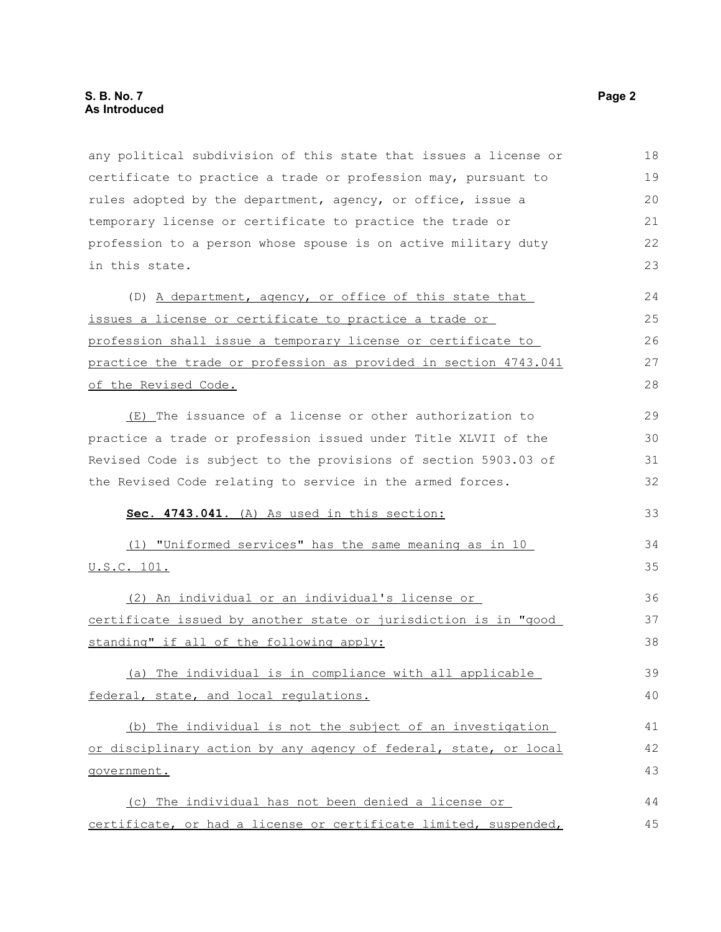any political subdivision of this state that issues a license or certificate to practice a trade or profession may, pursuant to rules adopted by the department, agency, or office, issue a temporary license or certificate to practice the trade or profession to a person whose spouse is on active military duty in this state. (D) A department, agency, or office of this state that issues a license or certificate to practice a trade or profession shall issue a temporary license or certificate to practice the trade or profession as provided in section 4743.041 of the Revised Code. (E) The issuance of a license or other authorization to practice a trade or profession issued under Title XLVII of the Revised Code is subject to the provisions of section 5903.03 of the Revised Code relating to service in the armed forces. **Sec. 4743.041.** (A) As used in this section: (1) "Uniformed services" has the same meaning as in 10 U.S.C. 101. (2) An individual or an individual's license or certificate issued by another state or jurisdiction is in "good standing" if all of the following apply: (a) The individual is in compliance with all applicable federal, state, and local regulations. (b) The individual is not the subject of an investigation or disciplinary action by any agency of federal, state, or local government. (c) The individual has not been denied a license or certificate, or had a license or certificate limited, suspended, 18 19 20 21 22 23 24 25 26 27 28 29 30 31 32 33 34 35 36 37 38 39 40 41 42 43 44 45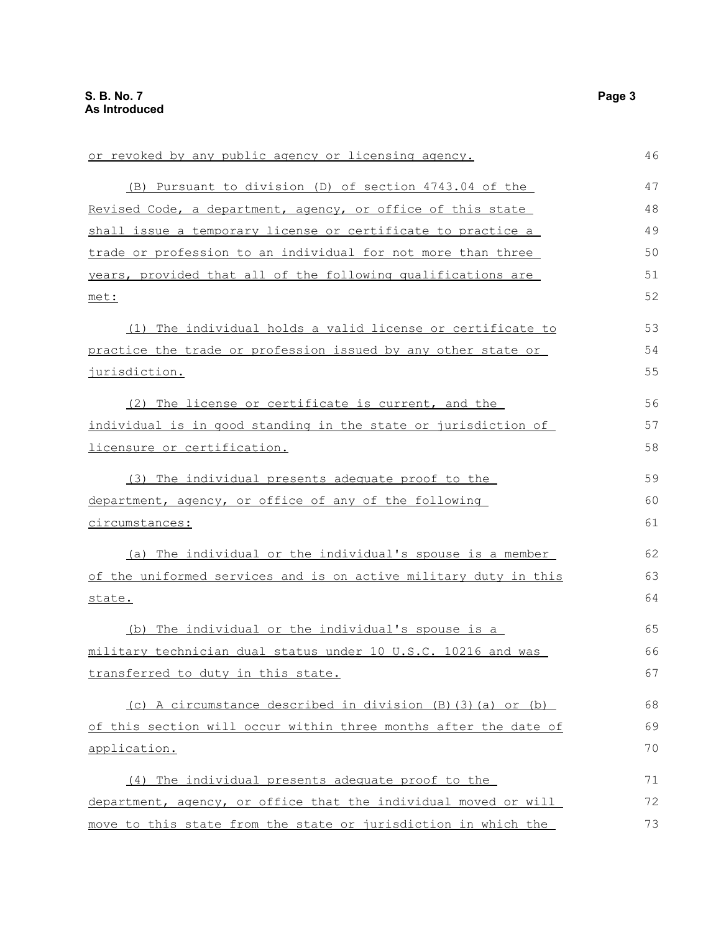| or revoked by any public agency or licensing agency.             | 46 |
|------------------------------------------------------------------|----|
| (B) Pursuant to division (D) of section 4743.04 of the           | 47 |
| Revised Code, a department, agency, or office of this state      | 48 |
| shall issue a temporary license or certificate to practice a     | 49 |
| trade or profession to an individual for not more than three     | 50 |
| years, provided that all of the following qualifications are     | 51 |
| met:                                                             | 52 |
| (1) The individual holds a valid license or certificate to       | 53 |
| practice the trade or profession issued by any other state or    | 54 |
| <u>jurisdiction.</u>                                             | 55 |
| (2) The license or certificate is current, and the               | 56 |
| individual is in good standing in the state or jurisdiction of   | 57 |
| licensure or certification.                                      | 58 |
| (3) The individual presents adequate proof to the                | 59 |
| department, agency, or office of any of the following            | 60 |
| circumstances:                                                   | 61 |
| (a) The individual or the individual's spouse is a member        | 62 |
| of the uniformed services and is on active military duty in this | 63 |
| state.                                                           | 64 |
| (b) The individual or the individual's spouse is a               | 65 |
| military technician dual status under 10 U.S.C. 10216 and was    | 66 |
| transferred to duty in this state.                               | 67 |
| (c) A circumstance described in division (B) (3) (a) or (b)      | 68 |
| of this section will occur within three months after the date of | 69 |
| application.                                                     | 70 |
| (4) The individual presents adequate proof to the                | 71 |
| department, agency, or office that the individual moved or will  | 72 |
| move to this state from the state or jurisdiction in which the   | 73 |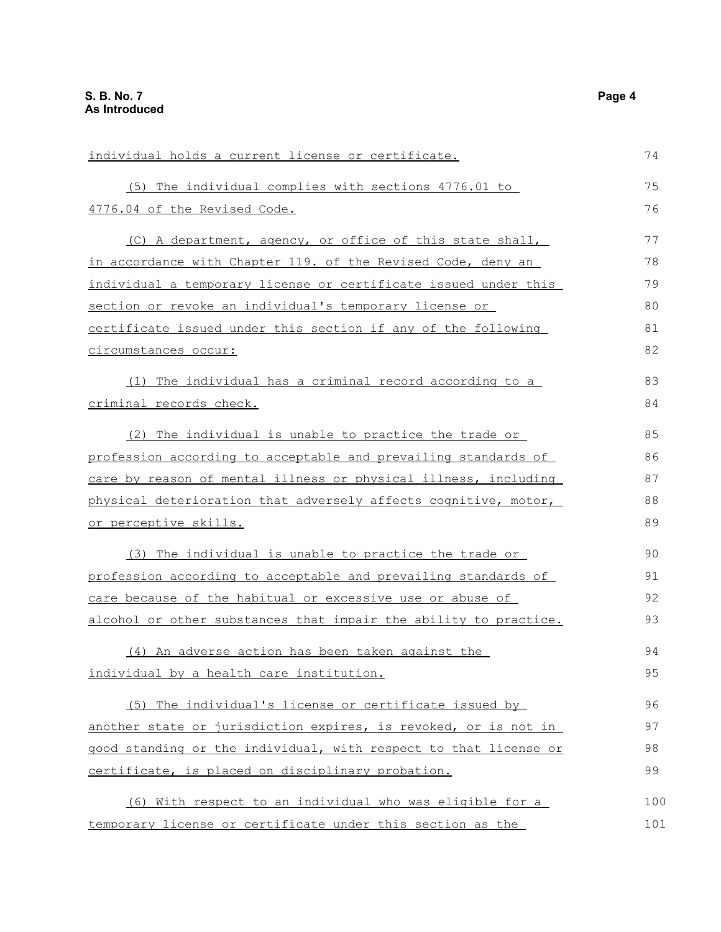| individual holds a current license or certificate.               | 74  |
|------------------------------------------------------------------|-----|
| (5) The individual complies with sections 4776.01 to             | 75  |
| 4776.04 of the Revised Code.                                     | 76  |
| (C) A department, agency, or office of this state shall,         | 77  |
| in accordance with Chapter 119. of the Revised Code, deny an     | 78  |
| individual a temporary license or certificate issued under this  | 79  |
| section or revoke an individual's temporary license or           | 80  |
| certificate issued under this section if any of the following    | 81  |
| circumstances occur:                                             | 82  |
| (1) The individual has a criminal record according to a          | 83  |
| criminal records check.                                          | 84  |
| (2) The individual is unable to practice the trade or            | 85  |
| profession according to acceptable and prevailing standards of   | 86  |
| care by reason of mental illness or physical illness, including  | 87  |
| physical deterioration that adversely affects cognitive, motor,  | 88  |
| <u>or perceptive skills.</u>                                     | 89  |
| (3) The individual is unable to practice the trade or            | 90  |
| profession according to acceptable and prevailing standards of   | 91  |
| care because of the habitual or excessive use or abuse of        | 92  |
| alcohol or other substances that impair the ability to practice. | 93  |
| (4) An adverse action has been taken against the                 | 94  |
| individual by a health care institution.                         | 95  |
| (5) The individual's license or certificate issued by            | 96  |
| another state or jurisdiction expires, is revoked, or is not in  | 97  |
| good standing or the individual, with respect to that license or | 98  |
| certificate, is placed on disciplinary probation.                | 99  |
| (6) With respect to an individual who was eligible for a         | 100 |
| temporary license or certificate under this section as the       | 101 |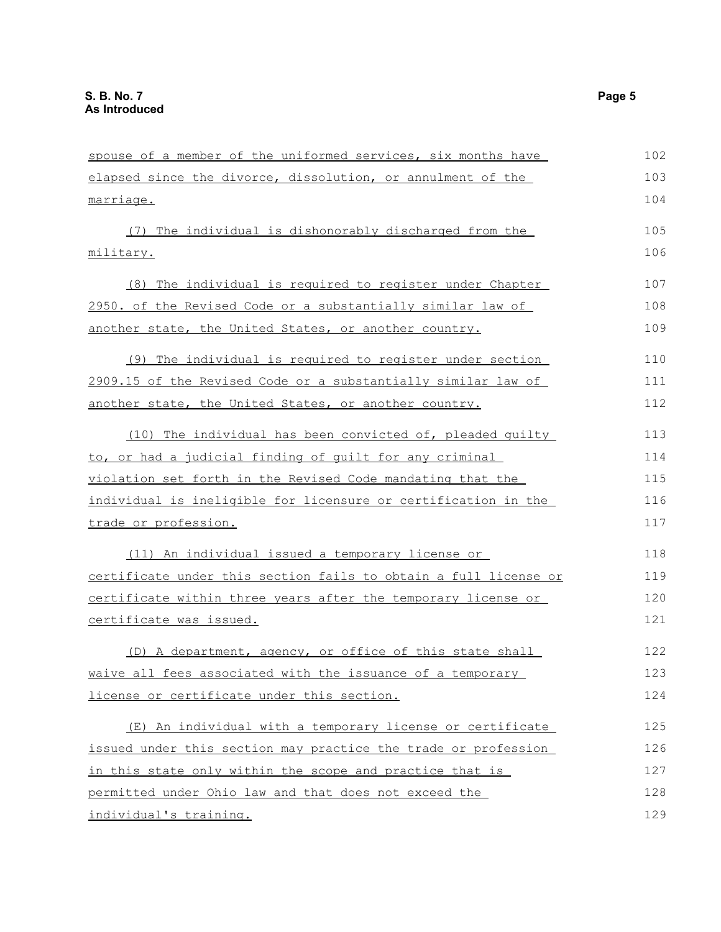| spouse of a member of the uniformed services, six months have    | 102 |
|------------------------------------------------------------------|-----|
| elapsed since the divorce, dissolution, or annulment of the      | 103 |
| marriage.                                                        | 104 |
| (7) The individual is dishonorably discharged from the           | 105 |
| military.                                                        | 106 |
| (8) The individual is required to register under Chapter         | 107 |
| 2950. of the Revised Code or a substantially similar law of      | 108 |
| another state, the United States, or another country.            | 109 |
| (9) The individual is required to register under section         | 110 |
| 2909.15 of the Revised Code or a substantially similar law of    | 111 |
| another state, the United States, or another country.            | 112 |
| (10) The individual has been convicted of, pleaded guilty        | 113 |
| to, or had a judicial finding of quilt for any criminal          | 114 |
| violation set forth in the Revised Code mandating that the       | 115 |
| individual is ineligible for licensure or certification in the   | 116 |
| trade or profession.                                             | 117 |
| (11) An individual issued a temporary license or                 | 118 |
| certificate under this section fails to obtain a full license or | 119 |
| certificate within three years after the temporary license or    | 120 |
| certificate was issued.                                          | 121 |
| (D) A department, agency, or office of this state shall          | 122 |
| waive all fees associated with the issuance of a temporary       | 123 |
| license or certificate under this section.                       | 124 |
| (E) An individual with a temporary license or certificate        | 125 |
| issued under this section may practice the trade or profession   | 126 |
| in this state only within the scope and practice that is         | 127 |
| permitted under Ohio law and that does not exceed the            | 128 |
| individual's training.                                           | 129 |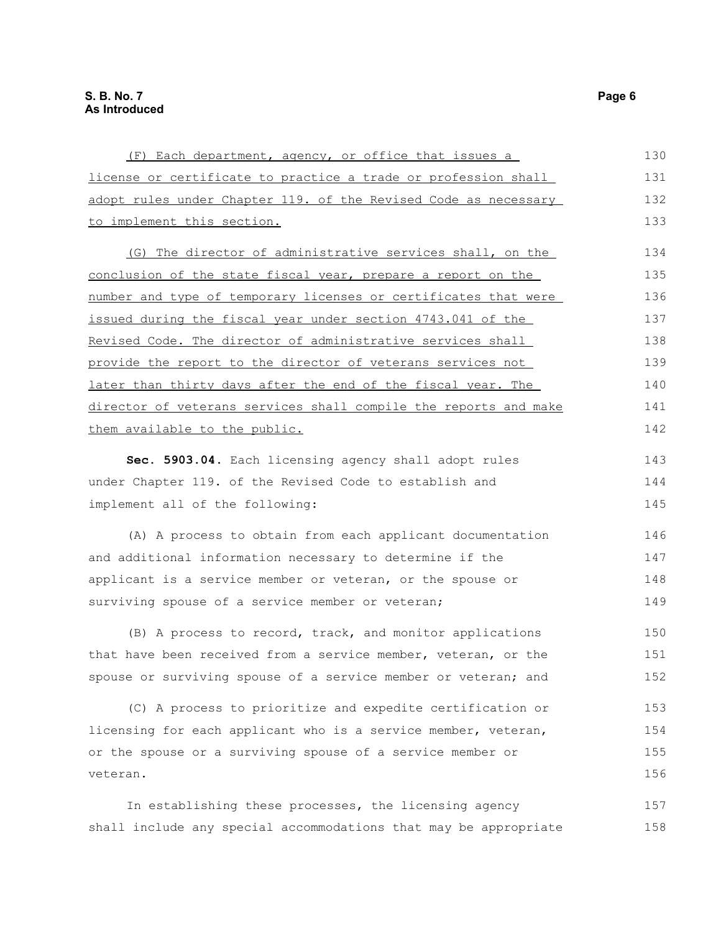| (F) Each department, agency, or office that issues a             | 130 |
|------------------------------------------------------------------|-----|
| license or certificate to practice a trade or profession shall   | 131 |
| adopt rules under Chapter 119. of the Revised Code as necessary  | 132 |
| to implement this section.                                       | 133 |
| (G) The director of administrative services shall, on the        | 134 |
| conclusion of the state fiscal year, prepare a report on the     | 135 |
| number and type of temporary licenses or certificates that were  | 136 |
| issued during the fiscal year under section 4743.041 of the      | 137 |
| Revised Code. The director of administrative services shall      | 138 |
| provide the report to the director of veterans services not      | 139 |
| later than thirty days after the end of the fiscal year. The     | 140 |
| director of veterans services shall compile the reports and make | 141 |
| them available to the public.                                    | 142 |
|                                                                  |     |
| Sec. 5903.04. Each licensing agency shall adopt rules            | 143 |
| under Chapter 119. of the Revised Code to establish and          | 144 |
| implement all of the following:                                  | 145 |
| (A) A process to obtain from each applicant documentation        | 146 |
| and additional information necessary to determine if the         | 147 |
| applicant is a service member or veteran, or the spouse or       | 148 |
| surviving spouse of a service member or veteran;                 | 149 |
| (B) A process to record, track, and monitor applications         | 150 |
| that have been received from a service member, veteran, or the   | 151 |
| spouse or surviving spouse of a service member or veteran; and   | 152 |
|                                                                  |     |
| (C) A process to prioritize and expedite certification or        | 153 |
| licensing for each applicant who is a service member, veteran,   | 154 |
| or the spouse or a surviving spouse of a service member or       | 155 |
| veteran.                                                         | 156 |
| In establishing these processes, the licensing agency            | 157 |
| shall include any special accommodations that may be appropriate | 158 |